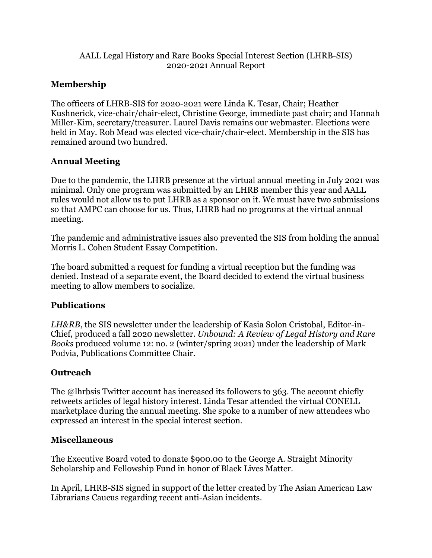#### AALL Legal History and Rare Books Special Interest Section (LHRB-SIS) 2020-2021 Annual Report

# **Membership**

The officers of LHRB-SIS for 2020-2021 were Linda K. Tesar, Chair; Heather Kushnerick, vice-chair/chair-elect, Christine George, immediate past chair; and Hannah Miller-Kim, secretary/treasurer. Laurel Davis remains our webmaster. Elections were held in May. Rob Mead was elected vice-chair/chair-elect. Membership in the SIS has remained around two hundred.

## **Annual Meeting**

Due to the pandemic, the LHRB presence at the virtual annual meeting in July 2021 was minimal. Only one program was submitted by an LHRB member this year and AALL rules would not allow us to put LHRB as a sponsor on it. We must have two submissions so that AMPC can choose for us. Thus, LHRB had no programs at the virtual annual meeting.

The pandemic and administrative issues also prevented the SIS from holding the annual Morris L. Cohen Student Essay Competition.

The board submitted a request for funding a virtual reception but the funding was denied. Instead of a separate event, the Board decided to extend the virtual business meeting to allow members to socialize.

### **Publications**

*LH&RB*, the SIS newsletter under the leadership of Kasia Solon Cristobal, Editor-in-Chief, produced a fall 2020 newsletter. *Unbound: A Review of Legal History and Rare Books* produced volume 12: no. 2 (winter/spring 2021) under the leadership of Mark Podvia, Publications Committee Chair.

### **Outreach**

The @lhrbsis Twitter account has increased its followers to 363. The account chiefly retweets articles of legal history interest. Linda Tesar attended the virtual CONELL marketplace during the annual meeting. She spoke to a number of new attendees who expressed an interest in the special interest section.

### **Miscellaneous**

The Executive Board voted to donate \$900.00 to the George A. Straight Minority Scholarship and Fellowship Fund in honor of Black Lives Matter.

In April, LHRB-SIS signed in support of the letter created by The Asian American Law Librarians Caucus regarding recent anti-Asian incidents.